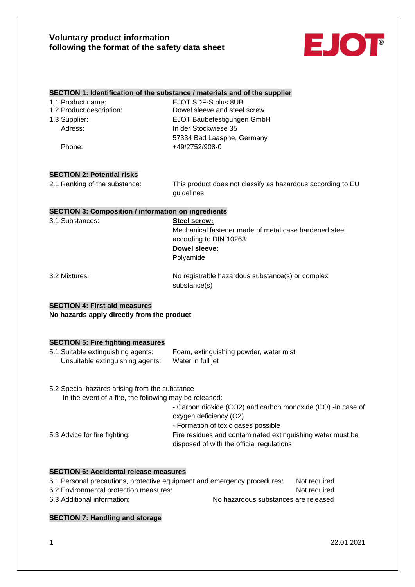

#### **SECTION 1: Identification of the substance / materials and of the supplier**

| 1.1 Product name:       |
|-------------------------|
| 1.2 Product description |
| 1.3 Supplier:           |

EJOT SDF-S plus 8UB on: Dowel sleeve and steel screw 1.3 Supplier: EJOT Baubefestigungen GmbH Adress: In der Stockwiese 35 57334 Bad Laasphe, Germany Phone: +49/2752/908-0

# **SECTION 2: Potential risks**

2.1 Ranking of the substance: This product does not classify as hazardous according to EU guidelines

## **SECTION 3: Composition / information on ingredients**

3.1 Substances: **Steel screw:**

Mechanical fastener made of metal case hardened steel according to DIN 10263 **Dowel sleeve:**

Polyamide

3.2 Mixtures: No registrable hazardous substance(s) or complex substance(s)

#### **SECTION 4: First aid measures**

**No hazards apply directly from the product**

#### **SECTION 5: Fire fighting measures**

5.1 Suitable extinguishing agents: Foam, extinguishing powder, water mist Unsuitable extinguishing agents: Water in full jet

5.2 Special hazards arising from the substance

| In the event of a fire, the following may be released: |                                                                                                         |
|--------------------------------------------------------|---------------------------------------------------------------------------------------------------------|
|                                                        | - Carbon dioxide (CO2) and carbon monoxide (CO) -in case of                                             |
|                                                        | oxygen deficiency (O2)                                                                                  |
|                                                        | - Formation of toxic gases possible                                                                     |
| 5.3 Advice for fire fighting:                          | Fire residues and contaminated extinguishing water must be<br>disposed of with the official regulations |

#### **SECTION 6: Accidental release measures**

| 6.1 Personal precautions, protective equipment and emergency procedures: | Not reauired                         |
|--------------------------------------------------------------------------|--------------------------------------|
| 6.2 Environmental protection measures:                                   | Not required                         |
| 6.3 Additional information:                                              | No hazardous substances are released |

## **SECTION 7: Handling and storage**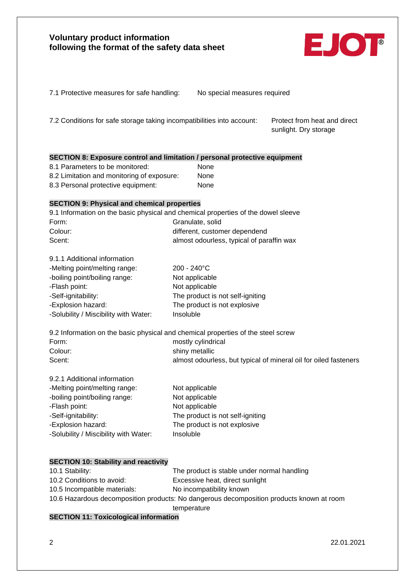

| 7.1 Protective measures for safe handling: |  |  |  |
|--------------------------------------------|--|--|--|
|--------------------------------------------|--|--|--|

No special measures required

7.2 Conditions for safe storage taking incompatibilities into account: Protect from heat and direct

sunlight. Dry storage

| SECTION 8: Exposure control and limitation / personal protective equipment |  |  |  |
|----------------------------------------------------------------------------|--|--|--|
|----------------------------------------------------------------------------|--|--|--|

8.1 Parameters to be monitored: None 8.2 Limitation and monitoring of exposure: None 8.3 Personal protective equipment: None

## **SECTION 9: Physical and chemical properties**

9.1.1 Additional information

9.1 Information on the basic physical and chemical properties of the dowel sleeve Form: Granulate, solid Colour: different, customer dependend Scent: Scent: almost odourless, typical of paraffin wax

| 9. I. I Additional Information        |                                  |
|---------------------------------------|----------------------------------|
| -Melting point/melting range:         | $200 - 240^{\circ}$ C            |
| -boiling point/boiling range:         | Not applicable                   |
| -Flash point:                         | Not applicable                   |
| -Self-ignitability:                   | The product is not self-igniting |
| -Explosion hazard:                    | The product is not explosive     |
| -Solubility / Miscibility with Water: | Insoluble                        |
|                                       |                                  |

9.2 Information on the basic physical and chemical properties of the steel screw Form: mostly cylindrical Colour: shiny metallic Scent: Scent: almost odourless, but typical of mineral oil for oiled fasteners

| 9.2.1 Additional information          |                                  |
|---------------------------------------|----------------------------------|
| -Melting point/melting range:         | Not applicable                   |
| -boiling point/boiling range:         | Not applicable                   |
| -Flash point:                         | Not applicable                   |
| -Self-ignitability:                   | The product is not self-igniting |
| -Explosion hazard:                    | The product is not explosive     |
| -Solubility / Miscibility with Water: | Insoluble                        |

## **SECTION 10: Stability and reactivity**

| 10.1 Stability:              | The product is stable under normal handling                                              |
|------------------------------|------------------------------------------------------------------------------------------|
| 10.2 Conditions to avoid:    | Excessive heat, direct sunlight                                                          |
| 10.5 Incompatible materials: | No incompatibility known                                                                 |
|                              | 10.6 Hazardous decomposition products: No dangerous decomposition products known at room |
|                              | temperature                                                                              |

# **SECTION 11: Toxicological information**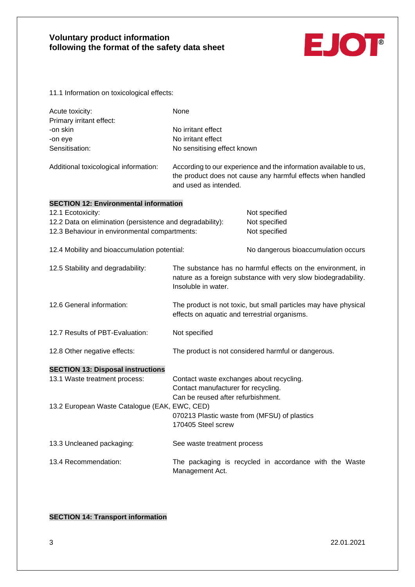

11.1 Information on toxicological effects:

| Acute toxicity:                       | None                                                                                                                                                     |
|---------------------------------------|----------------------------------------------------------------------------------------------------------------------------------------------------------|
| Primary irritant effect:              |                                                                                                                                                          |
| -on skin                              | No irritant effect                                                                                                                                       |
| -on eye                               | No irritant effect                                                                                                                                       |
| Sensitisation:                        | No sensitising effect known                                                                                                                              |
| Additional toxicological information: | According to our experience and the information available to us,<br>the product does not cause any harmful effects when handled<br>and used as intended. |

## **SECTION 12: Environmental information**  12.1 Ecotoxicity: Not specified

| $12.1$ $\pm 00.0$                                         |                                                                | .                                                               |  |
|-----------------------------------------------------------|----------------------------------------------------------------|-----------------------------------------------------------------|--|
| 12.2 Data on elimination (persistence and degradability): | Not specified                                                  |                                                                 |  |
| 12.3 Behaviour in environmental compartments:             |                                                                | Not specified                                                   |  |
|                                                           |                                                                |                                                                 |  |
| 12.4 Mobility and bioaccumulation potential:              |                                                                | No dangerous bioaccumulation occurs                             |  |
|                                                           |                                                                |                                                                 |  |
| 12.5 Stability and degradability:                         |                                                                | The substance has no harmful effects on the environment, in     |  |
|                                                           | nature as a foreign substance with very slow biodegradability. |                                                                 |  |
|                                                           | Insoluble in water.                                            |                                                                 |  |
|                                                           |                                                                |                                                                 |  |
| 12.6 General information:                                 |                                                                | The product is not toxic, but small particles may have physical |  |
|                                                           | effects on aquatic and terrestrial organisms.                  |                                                                 |  |
|                                                           |                                                                |                                                                 |  |
| 12.7 Results of PBT-Evaluation:                           | Not specified                                                  |                                                                 |  |
|                                                           |                                                                |                                                                 |  |
| 12.8 Other negative effects:                              | The product is not considered harmful or dangerous.            |                                                                 |  |
|                                                           |                                                                |                                                                 |  |
| <b>SECTION 13: Disposal instructions</b>                  |                                                                |                                                                 |  |
| 13.1 Waste treatment process:                             | Contact waste exchanges about recycling.                       |                                                                 |  |
|                                                           | Contact manufacturer for recycling.                            |                                                                 |  |
|                                                           | Can be reused after refurbishment.                             |                                                                 |  |
| 13.2 European Waste Catalogue (EAK, EWC, CED)             |                                                                |                                                                 |  |
|                                                           | 070213 Plastic waste from (MFSU) of plastics                   |                                                                 |  |
|                                                           | 170405 Steel screw                                             |                                                                 |  |
|                                                           |                                                                |                                                                 |  |
| 13.3 Uncleaned packaging:                                 | See waste treatment process                                    |                                                                 |  |
|                                                           |                                                                |                                                                 |  |
| 13.4 Recommendation:                                      |                                                                | The packaging is recycled in accordance with the Waste          |  |
|                                                           | Management Act.                                                |                                                                 |  |

# **SECTION 14: Transport information**